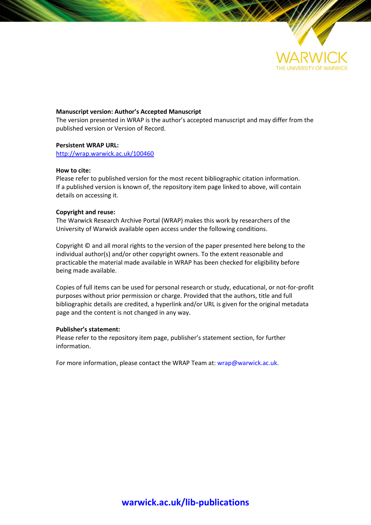

# **Manuscript version: Author's Accepted Manuscript**

The version presented in WRAP is the author's accepted manuscript and may differ from the published version or Version of Record.

# **Persistent WRAP URL:**

<http://wrap.warwick.ac.uk/100460>

# **How to cite:**

Please refer to published version for the most recent bibliographic citation information. If a published version is known of, the repository item page linked to above, will contain details on accessing it.

# **Copyright and reuse:**

The Warwick Research Archive Portal (WRAP) makes this work by researchers of the University of Warwick available open access under the following conditions.

Copyright © and all moral rights to the version of the paper presented here belong to the individual author(s) and/or other copyright owners. To the extent reasonable and practicable the material made available in WRAP has been checked for eligibility before being made available.

Copies of full items can be used for personal research or study, educational, or not-for-profit purposes without prior permission or charge. Provided that the authors, title and full bibliographic details are credited, a hyperlink and/or URL is given for the original metadata page and the content is not changed in any way.

# **Publisher's statement:**

Please refer to the repository item page, publisher's statement section, for further information.

For more information, please contact the WRAP Team at[: wrap@warwick.ac.uk.](mailto:wrap@warwick.ac.uk)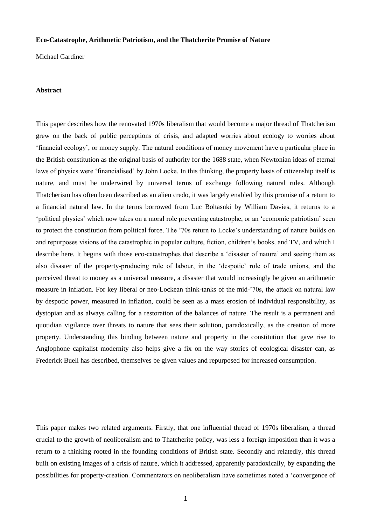#### **Eco-Catastrophe, Arithmetic Patriotism, and the Thatcherite Promise of Nature**

Michael Gardiner

#### **Abstract**

This paper describes how the renovated 1970s liberalism that would become a major thread of Thatcherism grew on the back of public perceptions of crisis, and adapted worries about ecology to worries about 'financial ecology', or money supply. The natural conditions of money movement have a particular place in the British constitution as the original basis of authority for the 1688 state, when Newtonian ideas of eternal laws of physics were 'financialised' by John Locke. In this thinking, the property basis of citizenship itself is nature, and must be underwired by universal terms of exchange following natural rules. Although Thatcherism has often been described as an alien credo, it was largely enabled by this promise of a return to a financial natural law. In the terms borrowed from Luc Boltasnki by William Davies, it returns to a 'political physics' which now takes on a moral role preventing catastrophe, or an 'economic patriotism' seen to protect the constitution from political force. The '70s return to Locke's understanding of nature builds on and repurposes visions of the catastrophic in popular culture, fiction, children's books, and TV, and which I describe here. It begins with those eco-catastrophes that describe a 'disaster of nature' and seeing them as also disaster of the property-producing role of labour, in the 'despotic' role of trade unions, and the perceived threat to money as a universal measure, a disaster that would increasingly be given an arithmetic measure in inflation. For key liberal or neo-Lockean think-tanks of the mid-'70s, the attack on natural law by despotic power, measured in inflation, could be seen as a mass erosion of individual responsibility, as dystopian and as always calling for a restoration of the balances of nature. The result is a permanent and quotidian vigilance over threats to nature that sees their solution, paradoxically, as the creation of more property. Understanding this binding between nature and property in the constitution that gave rise to Anglophone capitalist modernity also helps give a fix on the way stories of ecological disaster can, as Frederick Buell has described, themselves be given values and repurposed for increased consumption.

This paper makes two related arguments. Firstly, that one influential thread of 1970s liberalism, a thread crucial to the growth of neoliberalism and to Thatcherite policy, was less a foreign imposition than it was a return to a thinking rooted in the founding conditions of British state. Secondly and relatedly, this thread built on existing images of a crisis of nature, which it addressed, apparently paradoxically, by expanding the possibilities for property-creation. Commentators on neoliberalism have sometimes noted a 'convergence of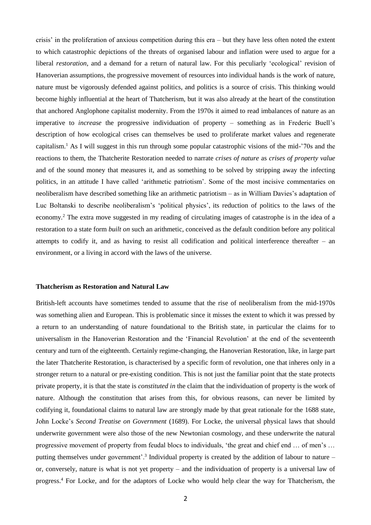crisis' in the proliferation of anxious competition during this era – but they have less often noted the extent to which catastrophic depictions of the threats of organised labour and inflation were used to argue for a liberal *restoration*, and a demand for a return of natural law. For this peculiarly 'ecological' revision of Hanoverian assumptions, the progressive movement of resources into individual hands is the work of nature, nature must be vigorously defended against politics, and politics is a source of crisis. This thinking would become highly influential at the heart of Thatcherism, but it was also already at the heart of the constitution that anchored Anglophone capitalist modernity. From the 1970s it aimed to read imbalances of nature as an imperative to *increase* the progressive individuation of property – something as in Frederic Buell's description of how ecological crises can themselves be used to proliferate market values and regenerate capitalism. <sup>1</sup> As I will suggest in this run through some popular catastrophic visions of the mid-'70s and the reactions to them, the Thatcherite Restoration needed to narrate *crises of nature* as *crises of property value* and of the sound money that measures it, and as something to be solved by stripping away the infecting politics, in an attitude I have called 'arithmetic patriotism'. Some of the most incisive commentaries on neoliberalism have described something like an arithmetic patriotism – as in William Davies's adaptation of Luc Boltanski to describe neoliberalism's 'political physics', its reduction of politics to the laws of the economy.<sup>2</sup> The extra move suggested in my reading of circulating images of catastrophe is in the idea of a restoration to a state form *built on* such an arithmetic, conceived as the default condition before any political attempts to codify it, and as having to resist all codification and political interference thereafter – an environment, or a living in accord with the laws of the universe.

# **Thatcherism as Restoration and Natural Law**

British-left accounts have sometimes tended to assume that the rise of neoliberalism from the mid-1970s was something alien and European. This is problematic since it misses the extent to which it was pressed by a return to an understanding of nature foundational to the British state, in particular the claims for to universalism in the Hanoverian Restoration and the 'Financial Revolution' at the end of the seventeenth century and turn of the eighteenth. Certainly regime-changing, the Hanoverian Restoration, like, in large part the later Thatcherite Restoration, is characterised by a specific form of revolution, one that inheres only in a stronger return to a natural or pre-existing condition. This is not just the familiar point that the state protects private property, it is that the state is *constituted in* the claim that the individuation of property is the work of nature. Although the constitution that arises from this, for obvious reasons, can never be limited by codifying it, foundational claims to natural law are strongly made by that great rationale for the 1688 state, John Locke's *Second Treatise on Government* (1689). For Locke, the universal physical laws that should underwrite government were also those of the new Newtonian cosmology, and these underwrite the natural progressive movement of property from feudal blocs to individuals, 'the great and chief end … of men's … putting themselves under government'.<sup>3</sup> Individual property is created by the addition of labour to nature – or, conversely, nature is what is not yet property – and the individuation of property is a universal law of progress. <sup>4</sup> For Locke, and for the adaptors of Locke who would help clear the way for Thatcherism, the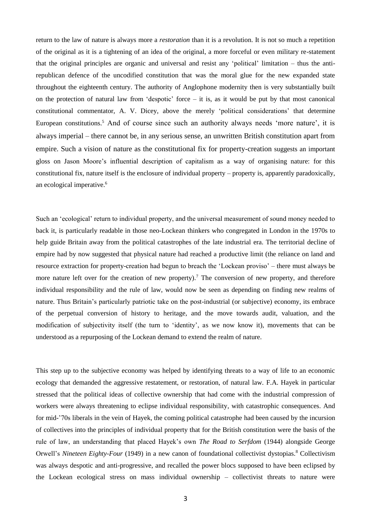return to the law of nature is always more a *restoration* than it is a revolution. It is not so much a repetition of the original as it is a tightening of an idea of the original, a more forceful or even military re-statement that the original principles are organic and universal and resist any 'political' limitation – thus the antirepublican defence of the uncodified constitution that was the moral glue for the new expanded state throughout the eighteenth century. The authority of Anglophone modernity then is very substantially built on the protection of natural law from 'despotic' force  $-$  it is, as it would be put by that most canonical constitutional commentator, A. V. Dicey, above the merely 'political considerations' that determine European constitutions. <sup>5</sup> And of course since such an authority always needs 'more nature', it is always imperial – there cannot be, in any serious sense, an unwritten British constitution apart from empire. Such a vision of nature as the constitutional fix for property-creation suggests an important gloss on Jason Moore's influential description of capitalism as a way of organising nature: for this constitutional fix, nature itself is the enclosure of individual property – property is, apparently paradoxically, an ecological imperative. 6

Such an 'ecological' return to individual property, and the universal measurement of sound money needed to back it, is particularly readable in those neo-Lockean thinkers who congregated in London in the 1970s to help guide Britain away from the political catastrophes of the late industrial era. The territorial decline of empire had by now suggested that physical nature had reached a productive limit (the reliance on land and resource extraction for property-creation had begun to breach the 'Lockean proviso' – there must always be more nature left over for the creation of new property).<sup>7</sup> The conversion of new property, and therefore individual responsibility and the rule of law, would now be seen as depending on finding new realms of nature. Thus Britain's particularly patriotic take on the post-industrial (or subjective) economy, its embrace of the perpetual conversion of history to heritage, and the move towards audit, valuation, and the modification of subjectivity itself (the turn to 'identity', as we now know it), movements that can be understood as a repurposing of the Lockean demand to extend the realm of nature.

This step up to the subjective economy was helped by identifying threats to a way of life to an economic ecology that demanded the aggressive restatement, or restoration, of natural law. F.A. Hayek in particular stressed that the political ideas of collective ownership that had come with the industrial compression of workers were always threatening to eclipse individual responsibility, with catastrophic consequences. And for mid-'70s liberals in the vein of Hayek, the coming political catastrophe had been caused by the incursion of collectives into the principles of individual property that for the British constitution were the basis of the rule of law, an understanding that placed Hayek's own *The Road to Serfdom* (1944) alongside George Orwell's *Nineteen Eighty-Four* (1949) in a new canon of foundational collectivist dystopias.<sup>8</sup> Collectivism was always despotic and anti-progressive, and recalled the power blocs supposed to have been eclipsed by the Lockean ecological stress on mass individual ownership – collectivist threats to nature were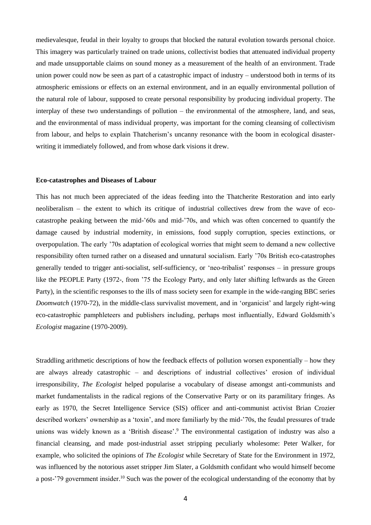medievalesque, feudal in their loyalty to groups that blocked the natural evolution towards personal choice. This imagery was particularly trained on trade unions, collectivist bodies that attenuated individual property and made unsupportable claims on sound money as a measurement of the health of an environment. Trade union power could now be seen as part of a catastrophic impact of industry – understood both in terms of its atmospheric emissions or effects on an external environment, and in an equally environmental pollution of the natural role of labour, supposed to create personal responsibility by producing individual property. The interplay of these two understandings of pollution – the environmental of the atmosphere, land, and seas, and the environmental of mass individual property, was important for the coming cleansing of collectivism from labour, and helps to explain Thatcherism's uncanny resonance with the boom in ecological disasterwriting it immediately followed, and from whose dark visions it drew.

#### **Eco-catastrophes and Diseases of Labour**

This has not much been appreciated of the ideas feeding into the Thatcherite Restoration and into early neoliberalism – the extent to which its critique of industrial collectives drew from the wave of ecocatastrophe peaking between the mid-'60s and mid-'70s, and which was often concerned to quantify the damage caused by industrial modernity, in emissions, food supply corruption, species extinctions, or overpopulation. The early '70s adaptation of ecological worries that might seem to demand a new collective responsibility often turned rather on a diseased and unnatural socialism. Early '70s British eco-catastrophes generally tended to trigger anti-socialist, self-sufficiency, or 'neo-tribalist' responses – in pressure groups like the PEOPLE Party (1972-, from '75 the Ecology Party, and only later shifting leftwards as the Green Party), in the scientific responses to the ills of mass society seen for example in the wide-ranging BBC series *Doomwatch* (1970-72), in the middle-class survivalist movement, and in 'organicist' and largely right-wing eco-catastrophic pamphleteers and publishers including, perhaps most influentially, Edward Goldsmith's *Ecologist* magazine (1970-2009).

Straddling arithmetic descriptions of how the feedback effects of pollution worsen exponentially – how they are always already catastrophic – and descriptions of industrial collectives' erosion of individual irresponsibility, *The Ecologist* helped popularise a vocabulary of disease amongst anti-communists and market fundamentalists in the radical regions of the Conservative Party or on its paramilitary fringes. As early as 1970, the Secret Intelligence Service (SIS) officer and anti-communist activist Brian Crozier described workers' ownership as a 'toxin', and more familiarly by the mid-'70s, the feudal pressures of trade unions was widely known as a 'British disease'. <sup>9</sup> The environmental castigation of industry was also a financial cleansing, and made post-industrial asset stripping peculiarly wholesome: Peter Walker, for example, who solicited the opinions of *The Ecologist* while Secretary of State for the Environment in 1972, was influenced by the notorious asset stripper Jim Slater, a Goldsmith confidant who would himself become a post-'79 government insider.<sup>10</sup> Such was the power of the ecological understanding of the economy that by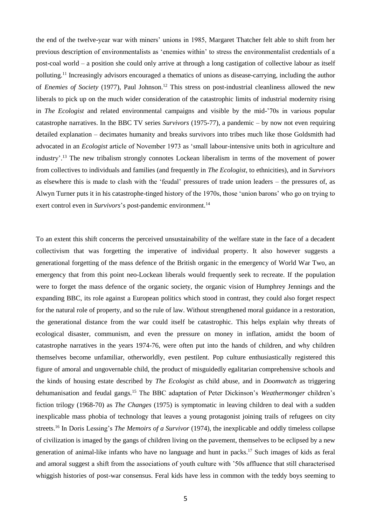the end of the twelve-year war with miners' unions in 1985, Margaret Thatcher felt able to shift from her previous description of environmentalists as 'enemies within' to stress the environmentalist credentials of a post-coal world – a position she could only arrive at through a long castigation of collective labour as itself polluting. <sup>11</sup> Increasingly advisors encouraged a thematics of unions as disease-carrying, including the author of *Enemies of Society* (1977), Paul Johnson.<sup>12</sup> This stress on post-industrial cleanliness allowed the new liberals to pick up on the much wider consideration of the catastrophic limits of industrial modernity rising in *The Ecologist* and related environmental campaigns and visible by the mid-'70s in various popular catastrophe narratives. In the BBC TV series *Survivors* (1975-77), a pandemic – by now not even requiring detailed explanation – decimates humanity and breaks survivors into tribes much like those Goldsmith had advocated in an *Ecologist* article of November 1973 as 'small labour-intensive units both in agriculture and industry'. <sup>13</sup> The new tribalism strongly connotes Lockean liberalism in terms of the movement of power from collectives to individuals and families (and frequently in *The Ecologist*, to ethnicities), and in *Survivors* as elsewhere this is made to clash with the 'feudal' pressures of trade union leaders – the pressures of, as Alwyn Turner puts it in his catastrophe-tinged history of the 1970s, those 'union barons' who go on trying to exert control even in *Survivors*'s post-pandemic environment.<sup>14</sup>

To an extent this shift concerns the perceived unsustainability of the welfare state in the face of a decadent collectivism that was forgetting the imperative of individual property. It also however suggests a generational forgetting of the mass defence of the British organic in the emergency of World War Two, an emergency that from this point neo-Lockean liberals would frequently seek to recreate. If the population were to forget the mass defence of the organic society, the organic vision of Humphrey Jennings and the expanding BBC, its role against a European politics which stood in contrast, they could also forget respect for the natural role of property, and so the rule of law. Without strengthened moral guidance in a restoration, the generational distance from the war could itself be catastrophic. This helps explain why threats of ecological disaster, communism, and even the pressure on money in inflation, amidst the boom of catastrophe narratives in the years 1974-76, were often put into the hands of children, and why children themselves become unfamiliar, otherworldly, even pestilent. Pop culture enthusiastically registered this figure of amoral and ungovernable child, the product of misguidedly egalitarian comprehensive schools and the kinds of housing estate described by *The Ecologist* as child abuse, and in *Doomwatch* as triggering dehumanisation and feudal gangs.<sup>15</sup> The BBC adaptation of Peter Dickinson's *Weathermonger* children's fiction trilogy (1968-70) as *The Changes* (1975) is symptomatic in leaving children to deal with a sudden inexplicable mass phobia of technology that leaves a young protagonist joining trails of refugees on city streets.<sup>16</sup> In Doris Lessing's *The Memoirs of a Survivor* (1974), the inexplicable and oddly timeless collapse of civilization is imaged by the gangs of children living on the pavement, themselves to be eclipsed by a new generation of animal-like infants who have no language and hunt in packs.<sup>17</sup> Such images of kids as feral and amoral suggest a shift from the associations of youth culture with '50s affluence that still characterised whiggish histories of post-war consensus. Feral kids have less in common with the teddy boys seeming to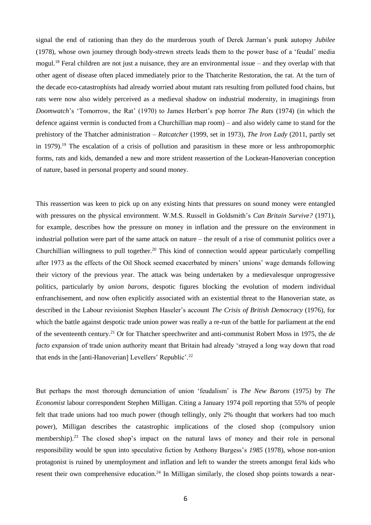signal the end of rationing than they do the murderous youth of Derek Jarman's punk autopsy *Jubilee* (1978), whose own journey through body-strewn streets leads them to the power base of a 'feudal' media mogul.<sup>18</sup> Feral children are not just a nuisance, they are an environmental issue – and they overlap with that other agent of disease often placed immediately prior to the Thatcherite Restoration, the rat. At the turn of the decade eco-catastrophists had already worried about mutant rats resulting from polluted food chains, but rats were now also widely perceived as a medieval shadow on industrial modernity, in imaginings from *Doomwatch*'s 'Tomorrow, the Rat' (1970) to James Herbert's pop horror *The Rats* (1974) (in which the defence against vermin is conducted from a Churchillian map room) – and also widely came to stand for the prehistory of the Thatcher administration – *Ratcatcher* (1999, set in 1973), *The Iron Lady* (2011, partly set in 1979).<sup>19</sup> The escalation of a crisis of pollution and parasitism in these more or less anthropomorphic forms, rats and kids, demanded a new and more strident reassertion of the Lockean-Hanoverian conception of nature, based in personal property and sound money.

This reassertion was keen to pick up on any existing hints that pressures on sound money were entangled with pressures on the physical environment. W.M.S. Russell in Goldsmith's *Can Britain Survive?* (1971), for example, describes how the pressure on money in inflation and the pressure on the environment in industrial pollution were part of the same attack on nature – the result of a rise of communist politics over a Churchillian willingness to pull together.<sup>20</sup> This kind of connection would appear particularly compelling after 1973 as the effects of the Oil Shock seemed exacerbated by miners' unions' wage demands following their victory of the previous year. The attack was being undertaken by a medievalesque unprogressive politics, particularly by *union barons*, despotic figures blocking the evolution of modern individual enfranchisement, and now often explicitly associated with an existential threat to the Hanoverian state, as described in the Labour revisionist Stephen Haseler's account *The Crisis of British Democracy* (1976), for which the battle against despotic trade union power was really a re-run of the battle for parliament at the end of the seventeenth century.<sup>21</sup> Or for Thatcher speechwriter and anti-communist Robert Moss in 1975, the *de facto* expansion of trade union authority meant that Britain had already 'strayed a long way down that road that ends in the [anti-Hanoverian] Levellers' Republic'.<sup>22</sup>

But perhaps the most thorough denunciation of union 'feudalism' is *The New Barons* (1975) by *The Economist* labour correspondent Stephen Milligan. Citing a January 1974 poll reporting that 55% of people felt that trade unions had too much power (though tellingly, only 2% thought that workers had too much power), Milligan describes the catastrophic implications of the closed shop (compulsory union membership).<sup>23</sup> The closed shop's impact on the natural laws of money and their role in personal responsibility would be spun into speculative fiction by Anthony Burgess's *1985* (1978), whose non-union protagonist is ruined by unemployment and inflation and left to wander the streets amongst feral kids who resent their own comprehensive education.<sup>24</sup> In Milligan similarly, the closed shop points towards a near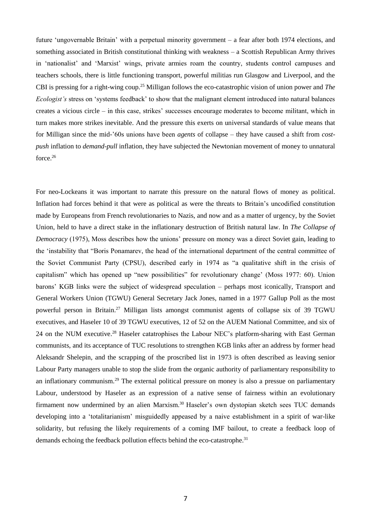future 'ungovernable Britain' with a perpetual minority government – a fear after both 1974 elections, and something associated in British constitutional thinking with weakness – a Scottish Republican Army thrives in 'nationalist' and 'Marxist' wings, private armies roam the country, students control campuses and teachers schools, there is little functioning transport, powerful militias run Glasgow and Liverpool, and the CBI is pressing for a right-wing coup. <sup>25</sup> Milligan follows the eco-catastrophic vision of union power and *The Ecologist's* stress on 'systems feedback' to show that the malignant element introduced into natural balances creates a vicious circle – in this case, strikes' successes encourage moderates to become militant, which in turn makes more strikes inevitable. And the pressure this exerts on universal standards of value means that for Milligan since the mid-'60s unions have been *agents* of collapse – they have caused a shift from *costpush* inflation to *demand-pull* inflation, they have subjected the Newtonian movement of money to unnatural force. 26

For neo-Lockeans it was important to narrate this pressure on the natural flows of money as political. Inflation had forces behind it that were as political as were the threats to Britain's uncodified constitution made by Europeans from French revolutionaries to Nazis, and now and as a matter of urgency, by the Soviet Union, held to have a direct stake in the inflationary destruction of British natural law. In *The Collapse of Democracy* (1975), Moss describes how the unions' pressure on money was a direct Soviet gain, leading to the 'instability that "Boris Ponamarev, the head of the international department of the central committee of the Soviet Communist Party (CPSU), described early in 1974 as "a qualitative shift in the crisis of capitalism" which has opened up "new possibilities" for revolutionary change' (Moss 1977: 60). Union barons' KGB links were the subject of widespread speculation – perhaps most iconically, Transport and General Workers Union (TGWU) General Secretary Jack Jones, named in a 1977 Gallup Poll as the most powerful person in Britain.<sup>27</sup> Milligan lists amongst communist agents of collapse six of 39 TGWU executives, and Haseler 10 of 39 TGWU executives, 12 of 52 on the AUEM National Committee, and six of 24 on the NUM executive.<sup>28</sup> Haseler catatrophises the Labour NEC's platform-sharing with East German communists, and its acceptance of TUC resolutions to strengthen KGB links after an address by former head Aleksandr Shelepin, and the scrapping of the proscribed list in 1973 is often described as leaving senior Labour Party managers unable to stop the slide from the organic authority of parliamentary responsibility to an inflationary communism.<sup>29</sup> The external political pressure on money is also a pressue on parliamentary Labour, understood by Haseler as an expression of a native sense of fairness within an evolutionary firmament now undermined by an alien Marxism.<sup>30</sup> Haseler's own dystopian sketch sees TUC demands developing into a 'totalitarianism' misguidedly appeased by a naive establishment in a spirit of war-like solidarity, but refusing the likely requirements of a coming IMF bailout, to create a feedback loop of demands echoing the feedback pollution effects behind the eco-catastrophe.<sup>31</sup>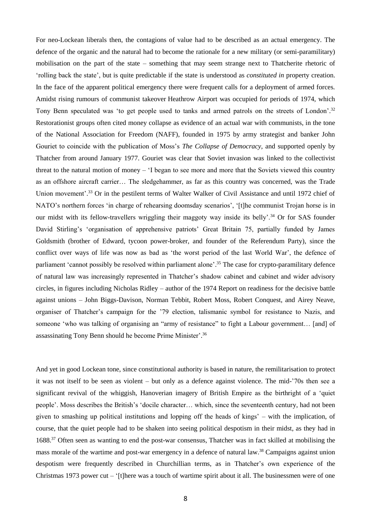For neo-Lockean liberals then, the contagions of value had to be described as an actual emergency. The defence of the organic and the natural had to become the rationale for a new military (or semi-paramilitary) mobilisation on the part of the state – something that may seem strange next to Thatcherite rhetoric of 'rolling back the state', but is quite predictable if the state is understood as *constituted in* property creation. In the face of the apparent political emergency there were frequent calls for a deployment of armed forces. Amidst rising rumours of communist takeover Heathrow Airport was occupied for periods of 1974, which Tony Benn speculated was 'to get people used to tanks and armed patrols on the streets of London'.<sup>32</sup> Restorationist groups often cited money collapse as evidence of an actual war with communists, in the tone of the National Association for Freedom (NAFF), founded in 1975 by army strategist and banker John Gouriet to coincide with the publication of Moss's *The Collapse of Democracy*, and supported openly by Thatcher from around January 1977. Gouriet was clear that Soviet invasion was linked to the collectivist threat to the natural motion of money – 'I began to see more and more that the Soviets viewed this country as an offshore aircraft carrier… The sledgehammer, as far as this country was concerned, was the Trade Union movement'.<sup>33</sup> Or in the pestilent terms of Walter Walker of Civil Assistance and until 1972 chief of NATO's northern forces 'in charge of rehearsing doomsday scenarios', '[t]he communist Trojan horse is in our midst with its fellow-travellers wriggling their maggoty way inside its belly'.<sup>34</sup> Or for SAS founder David Stirling's 'organisation of apprehensive patriots' Great Britain 75, partially funded by James Goldsmith (brother of Edward, tycoon power-broker, and founder of the Referendum Party), since the conflict over ways of life was now as bad as 'the worst period of the last World War', the defence of parliament 'cannot possibly be resolved within parliament alone'.<sup>35</sup> The case for crypto-paramilitary defence of natural law was increasingly represented in Thatcher's shadow cabinet and cabinet and wider advisory circles, in figures including Nicholas Ridley – author of the 1974 Report on readiness for the decisive battle against unions – John Biggs-Davison, Norman Tebbit, Robert Moss, Robert Conquest, and Airey Neave, organiser of Thatcher's campaign for the '79 election, talismanic symbol for resistance to Nazis, and someone 'who was talking of organising an "army of resistance" to fight a Labour government... [and] of assassinating Tony Benn should he become Prime Minister'. 36

And yet in good Lockean tone, since constitutional authority is based in nature, the remilitarisation to protect it was not itself to be seen as violent – but only as a defence against violence. The mid-'70s then see a significant revival of the whiggish, Hanoverian imagery of British Empire as the birthright of a 'quiet people'. Moss describes the British's 'docile character… which, since the seventeenth century, had not been given to smashing up political institutions and lopping off the heads of kings' – with the implication, of course, that the quiet people had to be shaken into seeing political despotism in their midst, as they had in 1688. <sup>37</sup> Often seen as wanting to end the post-war consensus, Thatcher was in fact skilled at mobilising the mass morale of the wartime and post-war emergency in a defence of natural law.<sup>38</sup> Campaigns against union despotism were frequently described in Churchillian terms, as in Thatcher's own experience of the Christmas 1973 power cut – '[t]here was a touch of wartime spirit about it all. The businessmen were of one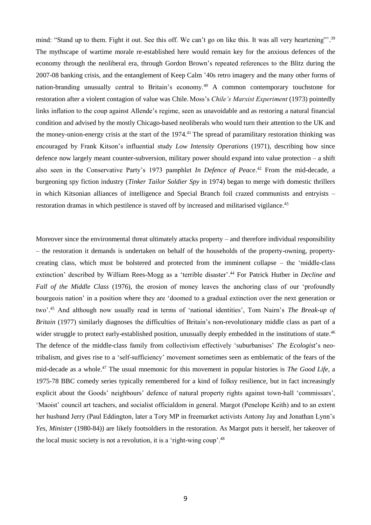mind: "Stand up to them. Fight it out. See this off. We can't go on like this. It was all very heartening"'.<sup>39</sup> The mythscape of wartime morale re-established here would remain key for the anxious defences of the economy through the neoliberal era, through Gordon Brown's repeated references to the Blitz during the 2007-08 banking crisis, and the entanglement of Keep Calm '40s retro imagery and the many other forms of nation-branding unusually central to Britain's economy.<sup>40</sup> A common contemporary touchstone for restoration after a violent contagion of value was Chile. Moss's *Chile's Marxist Experiment* (1973) pointedly links inflation to the coup against Allende's regime, seen as unavoidable and as restoring a natural financial condition and advised by the mostly Chicago-based neoliberals who would turn their attention to the UK and the money-union-energy crisis at the start of the 1974.<sup>41</sup> The spread of paramilitary restoration thinking was encouraged by Frank Kitson's influential study *Low Intensity Operations* (1971), describing how since defence now largely meant counter-subversion, military power should expand into value protection – a shift also seen in the Conservative Party's 1973 pamphlet *In Defence of Peace*. <sup>42</sup> From the mid-decade, a burgeoning spy fiction industry (*Tinker Tailor Soldier Spy* in 1974) began to merge with domestic thrillers in which Kitsonian alliances of intelligence and Special Branch foil crazed communists and entryists – restoration dramas in which pestilence is staved off by increased and militarised vigilance.<sup>43</sup>

Moreover since the environmental threat ultimately attacks property – and therefore individual responsibility – the restoration it demands is undertaken on behalf of the households of the property-owning, propertycreating class, which must be bolstered and protected from the imminent collapse – the 'middle-class extinction' described by William Rees-Mogg as a 'terrible disaster'. <sup>44</sup> For Patrick Hutber in *Decline and Fall of the Middle Class* (1976), the erosion of money leaves the anchoring class of our 'profoundly bourgeois nation' in a position where they are 'doomed to a gradual extinction over the next generation or two'. <sup>45</sup> And although now usually read in terms of 'national identities', Tom Nairn's *The Break-up of Britain* (1977) similarly diagnoses the difficulties of Britain's non-revolutionary middle class as part of a wider struggle to protect early-established position, unusually deeply embedded in the institutions of state.<sup>46</sup> The defence of the middle-class family from collectivism effectively 'suburbanises' *The Ecologist*'s neotribalism, and gives rise to a 'self-sufficiency' movement sometimes seen as emblematic of the fears of the mid-decade as a whole. <sup>47</sup> The usual mnemonic for this movement in popular histories is *The Good Life*, a 1975-78 BBC comedy series typically remembered for a kind of folksy resilience, but in fact increasingly explicit about the Goods' neighbours' defence of natural property rights against town-hall 'commissars', 'Maoist' council art teachers, and socialist officialdom in general. Margot (Penelope Keith) and to an extent her husband Jerry (Paul Eddington, later a Tory MP in freemarket activists Antony Jay and Jonathan Lynn's *Yes, Minister* (1980-84)) are likely footsoldiers in the restoration. As Margot puts it herself, her takeover of the local music society is not a revolution, it is a 'right-wing coup'. 48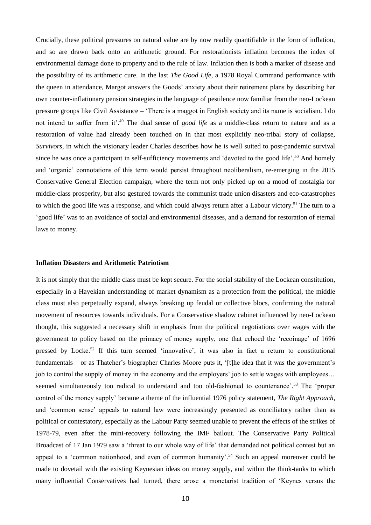Crucially, these political pressures on natural value are by now readily quantifiable in the form of inflation, and so are drawn back onto an arithmetic ground. For restorationists inflation becomes the index of environmental damage done to property and to the rule of law. Inflation then is both a marker of disease and the possibility of its arithmetic cure. In the last *The Good Life*, a 1978 Royal Command performance with the queen in attendance, Margot answers the Goods' anxiety about their retirement plans by describing her own counter-inflationary pension strategies in the language of pestilence now familiar from the neo-Lockean pressure groups like Civil Assistance – 'There is a maggot in English society and its name is socialism. I do not intend to suffer from it'. <sup>49</sup> The dual sense of *good life* as a middle-class return to nature and as a restoration of value had already been touched on in that most explicitly neo-tribal story of collapse, *Survivors*, in which the visionary leader Charles describes how he is well suited to post-pandemic survival since he was once a participant in self-sufficiency movements and 'devoted to the good life'. <sup>50</sup> And homely and 'organic' connotations of this term would persist throughout neoliberalism, re-emerging in the 2015 Conservative General Election campaign, where the term not only picked up on a mood of nostalgia for middle-class prosperity, but also gestured towards the communist trade union disasters and eco-catastrophes to which the good life was a response, and which could always return after a Labour victory.<sup>51</sup> The turn to a 'good life' was to an avoidance of social and environmental diseases, and a demand for restoration of eternal laws to money.

# **Inflation Disasters and Arithmetic Patriotism**

It is not simply that the middle class must be kept secure. For the social stability of the Lockean constitution, especially in a Hayekian understanding of market dynamism as a protection from the political, the middle class must also perpetually expand, always breaking up feudal or collective blocs, confirming the natural movement of resources towards individuals. For a Conservative shadow cabinet influenced by neo-Lockean thought, this suggested a necessary shift in emphasis from the political negotiations over wages with the government to policy based on the primacy of money supply, one that echoed the 'recoinage' of 1696 pressed by Locke.<sup>52</sup> If this turn seemed 'innovative', it was also in fact a return to constitutional fundamentals – or as Thatcher's biographer Charles Moore puts it, '[t]he idea that it was the government's job to control the supply of money in the economy and the employers' job to settle wages with employees... seemed simultaneously too radical to understand and too old-fashioned to countenance'.<sup>53</sup> The 'proper control of the money supply' became a theme of the influential 1976 policy statement, *The Right Approach*, and 'common sense' appeals to natural law were increasingly presented as conciliatory rather than as political or contestatory, especially as the Labour Party seemed unable to prevent the effects of the strikes of 1978-79, even after the mini-recovery following the IMF bailout. The Conservative Party Political Broadcast of 17 Jan 1979 saw a 'threat to our whole way of life' that demanded not political contest but an appeal to a 'common nationhood, and even of common humanity'.<sup>54</sup> Such an appeal moreover could be made to dovetail with the existing Keynesian ideas on money supply, and within the think-tanks to which many influential Conservatives had turned, there arose a monetarist tradition of 'Keynes versus the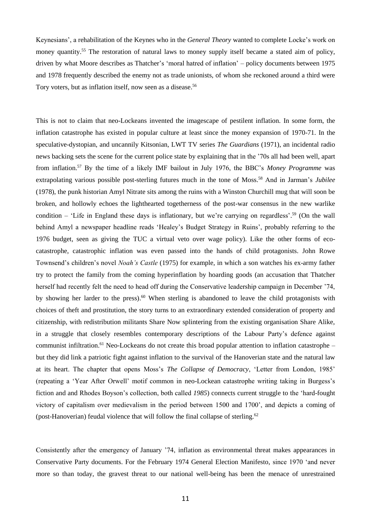Keynesians', a rehabilitation of the Keynes who in the *General Theory* wanted to complete Locke's work on money quantity.<sup>55</sup> The restoration of natural laws to money supply itself became a stated aim of policy, driven by what Moore describes as Thatcher's 'moral hatred of inflation' – policy documents between 1975 and 1978 frequently described the enemy not as trade unionists, of whom she reckoned around a third were Tory voters, but as inflation itself, now seen as a disease. 56

This is not to claim that neo-Lockeans invented the imagescape of pestilent inflation. In some form, the inflation catastrophe has existed in popular culture at least since the money expansion of 1970-71. In the speculative-dystopian, and uncannily Kitsonian, LWT TV series *The Guardians* (1971), an incidental radio news backing sets the scene for the current police state by explaining that in the '70s all had been well, apart from inflation. <sup>57</sup> By the time of a likely IMF bailout in July 1976, the BBC's *Money Programme* was extrapolating various possible post-sterling futures much in the tone of Moss. <sup>58</sup> And in Jarman's *Jubilee* (1978), the punk historian Amyl Nitrate sits among the ruins with a Winston Churchill mug that will soon be broken, and hollowly echoes the lighthearted togetherness of the post-war consensus in the new warlike condition – 'Life in England these days is inflationary, but we're carrying on regardless'.<sup>59</sup> (On the wall behind Amyl a newspaper headline reads 'Healey's Budget Strategy in Ruins', probably referring to the 1976 budget, seen as giving the TUC a virtual veto over wage policy). Like the other forms of ecocatastrophe, catastrophic inflation was even passed into the hands of child protagonists. John Rowe Townsend's children's novel *Noah's Castle* (1975) for example, in which a son watches his ex-army father try to protect the family from the coming hyperinflation by hoarding goods (an accusation that Thatcher herself had recently felt the need to head off during the Conservative leadership campaign in December '74, by showing her larder to the press).<sup>60</sup> When sterling is abandoned to leave the child protagonists with choices of theft and prostitution, the story turns to an extraordinary extended consideration of property and citizenship, with redistribution militants Share Now splintering from the existing organisation Share Alike, in a struggle that closely resembles contemporary descriptions of the Labour Party's defence against communist infiltration. <sup>61</sup> Neo-Lockeans do not create this broad popular attention to inflation catastrophe – but they did link a patriotic fight against inflation to the survival of the Hanoverian state and the natural law at its heart. The chapter that opens Moss's *The Collapse of Democracy*, 'Letter from London, 1985' (repeating a 'Year After Orwell' motif common in neo-Lockean catastrophe writing taking in Burgess's fiction and and Rhodes Boyson's collection, both called *1985*) connects current struggle to the 'hard-fought victory of capitalism over medievalism in the period between 1500 and 1700', and depicts a coming of (post-Hanoverian) feudal violence that will follow the final collapse of sterling.<sup>62</sup>

Consistently after the emergency of January '74, inflation as environmental threat makes appearances in Conservative Party documents. For the February 1974 General Election Manifesto, since 1970 'and never more so than today, the gravest threat to our national well-being has been the menace of unrestrained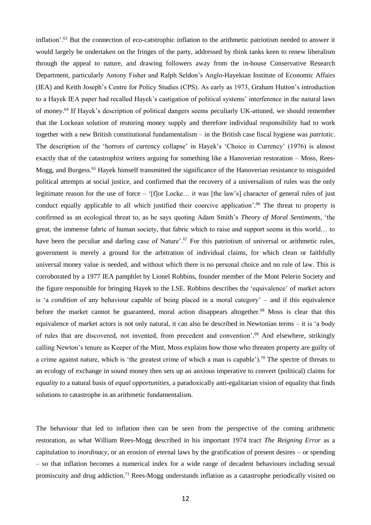inflation'.<sup>63</sup> But the connection of eco-catstrophic inflation to the arithmetic patriotism needed to answer it would largely be undertaken on the fringes of the party, addressed by think tanks keen to renew liberalism through the appeal to nature, and drawing followers away from the in-house Conservative Research Department, particularly Antony Fisher and Ralph Seldon's Anglo-Hayekian Institute of Economic Affairs (IEA) and Keith Joseph's Centre for Policy Studies (CPS). As early as 1973, Graham Hutton's introduction to a Hayek IEA paper had recalled Hayek's castigation of political systems' interference in the natural laws of money. <sup>64</sup> If Hayek's description of political dangers seems peculiarly UK-attuned, we should remember that the Lockean solution of restoring money supply and therefore individual responsibility had to work together with a new British constitutional fundamentalism – in the British case fiscal hygiene was *patriotic*. The description of the 'horrors of currency collapse' in Hayek's 'Choice in Currency' (1976) is almost exactly that of the catastrophist writers arguing for something like a Hanoverian restoration – Moss, Rees-Mogg, and Burgess. <sup>65</sup> Hayek himself transmitted the significance of the Hanoverian resistance to misguided political attempts at social justice, and confirmed that the recovery of a universalism of rules was the only legitimate reason for the use of force – '[f]or Locke… it was [the law's] character of general rules of just conduct equally applicable to all which justified their coercive application'. <sup>66</sup> The threat to property is confirmed as an ecological threat to, as he says quoting Adam Smith's *Theory of Moral Sentiments*, 'the great, the immense fabric of human society, that fabric which to raise and support seems in this world… to have been the peculiar and darling case of Nature'.<sup>67</sup> For this patriotism of universal or arithmetic rules, government is merely a ground for the arbitration of individual claims, for which clean or faithfully universal money value is needed, and without which there is no personal choice and no rule of law. This is corroborated by a 1977 IEA pamphlet by Lionel Robbins, founder member of the Mont Pelerin Society and the figure responsible for bringing Hayek to the LSE. Robbins describes the 'equivalence' of market actors is 'a *condition* of any behaviour capable of being placed in a moral category' – and if this equivalence before the market cannot be guaranteed, moral action disappears altogether.<sup>68</sup> Moss is clear that this equivalence of market actors is not only natural, it can also be described in Newtonian terms – it is 'a body of rules that are discovered, not invented, from precedent and convention'. <sup>69</sup> And elsewhere, strikingly calling Newton's tenure as Keeper of the Mint, Moss explains how those who threaten property are guilty of a crime against nature, which is 'the greatest crime of which a man is capable').<sup>70</sup> The spectre of threats to an ecology of exchange in sound money then sets up an anxious imperative to convert (political) claims for *equality* to a natural basis of *equal opportunities*, a paradoxically anti-egalitarian vision of equality that finds solutions to catastrophe in an arithmetic fundamentalism.

The behaviour that led to inflation then can be seen from the perspective of the coming arithmetic restoration, as what William Rees-Mogg described in his important 1974 tract *The Reigning Error* as a capitulation to *inordinacy*, or an erosion of eternal laws by the gratification of present desires – or spending – so that inflation becomes a numerical index for a wide range of decadent behaviours including sexual promiscuity and drug addiction.<sup>71</sup> Rees-Mogg understands inflation as a catastrophe periodically visited on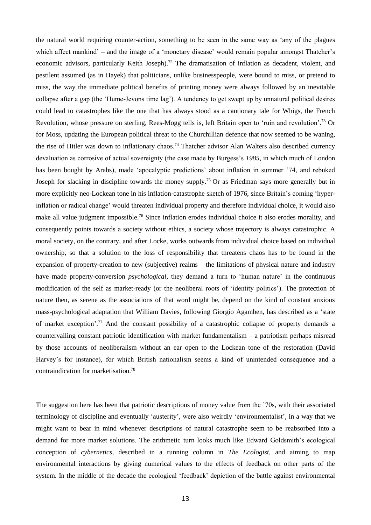the natural world requiring counter-action, something to be seen in the same way as 'any of the plagues which affect mankind' – and the image of a 'monetary disease' would remain popular amongst Thatcher's economic advisors, particularly Keith Joseph).<sup>72</sup> The dramatisation of inflation as decadent, violent, and pestilent assumed (as in Hayek) that politicians, unlike businesspeople, were bound to miss, or pretend to miss, the way the immediate political benefits of printing money were always followed by an inevitable collapse after a gap (the 'Hume-Jevons time lag'). A tendency to get swept up by unnatural political desires could lead to catastrophes like the one that has always stood as a cautionary tale for Whigs, the French Revolution, whose pressure on sterling, Rees-Mogg tells is, left Britain open to 'ruin and revolution'. <sup>73</sup> Or for Moss, updating the European political threat to the Churchillian defence that now seemed to be waning, the rise of Hitler was down to inflationary chaos.<sup>74</sup> Thatcher advisor Alan Walters also described currency devaluation as corrosive of actual sovereignty (the case made by Burgess's *1985*, in which much of London has been bought by Arabs), made 'apocalyptic predictions' about inflation in summer '74, and rebuked Joseph for slacking in discipline towards the money supply.<sup>75</sup> Or as Friedman says more generally but in more explicitly neo-Lockean tone in his inflation-catastrophe sketch of 1976, since Britain's coming 'hyperinflation or radical change' would threaten individual property and therefore individual choice, it would also make all value judgment impossible.<sup>76</sup> Since inflation erodes individual choice it also erodes morality, and consequently points towards a society without ethics, a society whose trajectory is always catastrophic. A moral society, on the contrary, and after Locke, works outwards from individual choice based on individual ownership, so that a solution to the loss of responsibility that threatens chaos has to be found in the expansion of property-creation to new (subjective) realms – the limitations of physical nature and industry have made property-conversion *psychological*, they demand a turn to 'human nature' in the continuous modification of the self as market-ready (or the neoliberal roots of 'identity politics'). The protection of nature then, as serene as the associations of that word might be, depend on the kind of constant anxious mass-psychological adaptation that William Davies, following Giorgio Agamben, has described as a 'state of market exception'. <sup>77</sup> And the constant possibility of a catastrophic collapse of property demands a countervailing constant patriotic identification with market fundamentalism – a patriotism perhaps misread by those accounts of neoliberalism without an ear open to the Lockean tone of the restoration (David Harvey's for instance), for which British nationalism seems a kind of unintended consequence and a contraindication for marketisation. 78

The suggestion here has been that patriotic descriptions of money value from the '70s, with their associated terminology of discipline and eventually 'austerity', were also weirdly 'environmentalist', in a way that we might want to bear in mind whenever descriptions of natural catastrophe seem to be reabsorbed into a demand for more market solutions. The arithmetic turn looks much like Edward Goldsmith's ecological conception of *cybernetics*, described in a running column in *The Ecologist*, and aiming to map environmental interactions by giving numerical values to the effects of feedback on other parts of the system. In the middle of the decade the ecological 'feedback' depiction of the battle against environmental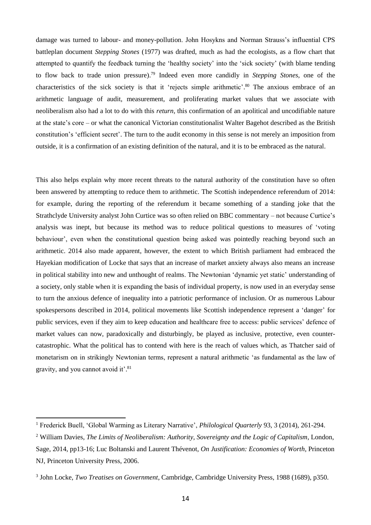damage was turned to labour- and money-pollution. John Hosykns and Norman Strauss's influential CPS battleplan document *Stepping Stones* (1977) was drafted, much as had the ecologists, as a flow chart that attempted to quantify the feedback turning the 'healthy society' into the 'sick society' (with blame tending to flow back to trade union pressure). <sup>79</sup> Indeed even more candidly in *Stepping Stones*, one of the characteristics of the sick society is that it 'rejects simple arithmetic'. <sup>80</sup> The anxious embrace of an arithmetic language of audit, measurement, and proliferating market values that we associate with neoliberalism also had a lot to do with this *return*, this confirmation of an apolitical and uncodifiable nature at the state's core – or what the canonical Victorian constitutionalist Walter Bagehot described as the British constitution's 'efficient secret'. The turn to the audit economy in this sense is not merely an imposition from outside, it is a confirmation of an existing definition of the natural, and it is to be embraced as the natural.

This also helps explain why more recent threats to the natural authority of the constitution have so often been answered by attempting to reduce them to arithmetic. The Scottish independence referendum of 2014: for example, during the reporting of the referendum it became something of a standing joke that the Strathclyde University analyst John Curtice was so often relied on BBC commentary – not because Curtice's analysis was inept, but because its method was to reduce political questions to measures of 'voting behaviour', even when the constitutional question being asked was pointedly reaching beyond such an arithmetic. 2014 also made apparent, however, the extent to which British parliament had embraced the Hayekian modification of Locke that says that an increase of market anxiety always also means an increase in political stability into new and unthought of realms. The Newtonian 'dynamic yet static' understanding of a society, only stable when it is expanding the basis of individual property, is now used in an everyday sense to turn the anxious defence of inequality into a patriotic performance of inclusion. Or as numerous Labour spokespersons described in 2014, political movements like Scottish independence represent a 'danger' for public services, even if they aim to keep education and healthcare free to access: public services' defence of market values can now, paradoxically and disturbingly, be played as inclusive, protective, even countercatastrophic. What the political has to contend with here is the reach of values which, as Thatcher said of monetarism on in strikingly Newtonian terms, represent a natural arithmetic 'as fundamental as the law of gravity, and you cannot avoid it'. 81

 $\ddot{\phantom{a}}$ 

<sup>1</sup> Frederick Buell, 'Global Warming as Literary Narrative', *Philological Quarterly* 93, 3 (2014), 261-294.

<sup>2</sup> William Davies, *The Limits of Neoliberalism: Authority, Sovereignty and the Logic of Capitalism*, London, Sage, 2014, pp13-16; Luc Boltanski and Laurent Thévenot, *On Justification: Economies of Worth*, Princeton NJ, Princeton University Press, 2006.

<sup>3</sup> John Locke, *Two Treatises on Government*, Cambridge, Cambridge University Press, 1988 (1689), p350.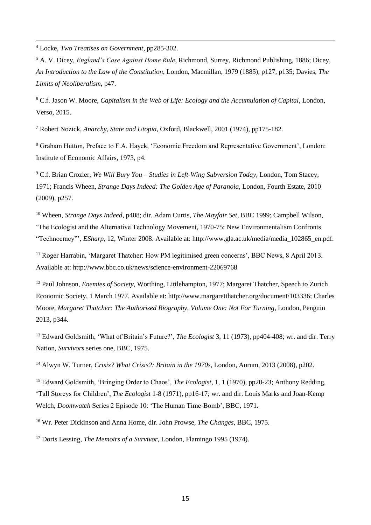<sup>4</sup> Locke, *Two Treatises on Government*, pp285-302.

-

<sup>5</sup> A. V. Dicey, *England's Case Against Home Rule*, Richmond, Surrey, Richmond Publishing, 1886; Dicey, *An Introduction to the Law of the Constitution*, London, Macmillan, 1979 (1885), p127, p135; Davies, *The Limits of Neoliberalism*, p47.

<sup>6</sup> C.f. Jason W. Moore, *Capitalism in the Web of Life: Ecology and the Accumulation of Capital*, London, Verso, 2015.

<sup>7</sup> Robert Nozick, *Anarchy, State and Utopia*, Oxford, Blackwell, 2001 (1974), pp175-182.

<sup>8</sup> Graham Hutton, Preface to F.A. Hayek, 'Economic Freedom and Representative Government', London: Institute of Economic Affairs, 1973, p4.

<sup>9</sup> C.f. Brian Crozier, *We Will Bury You – Studies in Left-Wing Subversion Today*, London, Tom Stacey, 1971; Francis Wheen, *Strange Days Indeed: The Golden Age of Paranoia*, London, Fourth Estate, 2010 (2009), p257.

<sup>10</sup> Wheen, *Strange Days Indeed*, p408; dir. Adam Curtis, *The Mayfair Set*, BBC 1999; Campbell Wilson, 'The Ecologist and the Alternative Technology Movement, 1970-75: New Environmentalism Confronts "Technocracy"', *ESharp*, 12, Winter 2008. Available at: http://www.gla.ac.uk/media/media\_102865\_en.pdf.

<sup>11</sup> Roger Harrabin, 'Margaret Thatcher: How PM legitimised green concerns', BBC News, 8 April 2013. Available at: http://www.bbc.co.uk/news/science-environment-22069768

<sup>12</sup> Paul Johnson, *Enemies of Society*, Worthing, Littlehampton, 1977; Margaret Thatcher, Speech to Zurich Economic Society, 1 March 1977. Available at: http://www.margaretthatcher.org/document/103336; Charles Moore, *Margaret Thatcher: The Authorized Biography, Volume One: Not For Turning*, London, Penguin 2013, p344.

<sup>13</sup> Edward Goldsmith, 'What of Britain's Future?', *The Ecologist* 3, 11 (1973), pp404-408; wr. and dir. Terry Nation, *Survivors* series one, BBC, 1975.

<sup>14</sup> Alwyn W. Turner, *Crisis? What Crisis?: Britain in the 1970s*, London, Aurum, 2013 (2008), p202.

<sup>15</sup> Edward Goldsmith, 'Bringing Order to Chaos', *The Ecologist*, 1, 1 (1970), pp20-23; Anthony Redding, 'Tall Storeys for Children', *The Ecologist* 1-8 (1971), pp16-17; wr. and dir. Louis Marks and Joan-Kemp Welch, *Doomwatch* Series 2 Episode 10: 'The Human Time-Bomb', BBC, 1971.

<sup>16</sup> Wr. Peter Dickinson and Anna Home, dir. John Prowse, *The Changes*, BBC, 1975.

<sup>17</sup> Doris Lessing, *The Memoirs of a Survivor*, London, Flamingo 1995 (1974).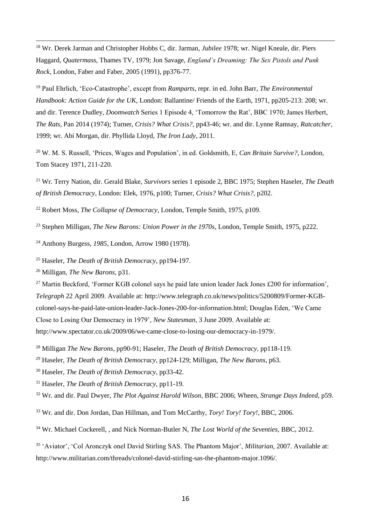<sup>18</sup> Wr. Derek Jarman and Christopher Hobbs C, dir. Jarman, *Jubilee* 1978; wr. Nigel Kneale, dir. Piers Haggard, *Quatermass*, Thames TV, 1979; Jon Savage, *England's Dreaming: The Sex Pistols and Punk Rock*, London, Faber and Faber, 2005 (1991), pp376-77.

<sup>19</sup> Paul Ehrlich, 'Eco-Catastrophe', except from *Ramparts*, repr. in ed. John Barr, *The Environmental Handbook: Action Guide for the UK*, London: Ballantine/ Friends of the Earth, 1971, pp205-213: 208; wr. and dir. Terence Dudley, *Doomwatch* Series 1 Episode 4, 'Tomorrow the Rat', BBC 1970; James Herbert, *The Rats*, Pan 2014 (1974); Turner, *Crisis? What Crisis?*, pp43-46; wr. and dir. Lynne Ramsay, *Ratcatcher*, 1999; wr. Abi Morgan, dir. Phyllida Lloyd, *The Iron Lady*, 2011.

<sup>20</sup> W. M. S. Russell, 'Prices, Wages and Population', in ed. Goldsmith, E, *Can Britain Survive?*, London, Tom Stacey 1971, 211-220.

<sup>21</sup> Wr. Terry Nation, dir. Gerald Blake, *Survivors* series 1 episode 2, BBC 1975; Stephen Haseler, *The Death of British Democracy*, London: Elek, 1976, p100; Turner, *Crisis? What Crisis?*, p202.

<sup>22</sup> Robert Moss, *The Collapse of Democracy*, London, Temple Smith, 1975, p109.

<sup>23</sup> Stephen Milligan, *The New Barons: Union Power in the 1970s*, London, Temple Smith, 1975, p222.

<sup>24</sup> Anthony Burgess, *1985*, London, Arrow 1980 (1978).

<sup>25</sup> Haseler, *The Death of British Democracy*, pp194-197.

<sup>26</sup> Milligan, *The New Barons*, p31.

-

<sup>27</sup> Martin Beckford, 'Former KGB colonel says he paid late union leader Jack Jones £200 for information', *Telegraph* 22 April 2009. Available at: http://www.telegraph.co.uk/news/politics/5200809/Former-KGBcolonel-says-he-paid-late-union-leader-Jack-Jones-200-for-information.html; Douglas Eden, 'We Came Close to Losing Our Democracy in 1979', *New Statesman*, 3 June 2009. Available at: http://www.spectator.co.uk/2009/06/we-came-close-to-losing-our-democracy-in-1979/.

<sup>28</sup> Milligan *The New Barons*, pp90-91; Haseler, *The Death of British Democracy*, pp118-119.

<sup>29</sup> Haseler, *The Death of British Democracy*, pp124-129; Milligan, *The New Barons*, p63.

<sup>30</sup> Haseler, *The Death of British Democracy*, pp33-42.

<sup>31</sup> Haseler, *The Death of British Democracy*, pp11-19.

<sup>32</sup> Wr. and dir. Paul Dwyer, *The Plot Against Harold Wilson*, BBC 2006; Wheen, *Strange Days Indeed*, p59.

<sup>33</sup> Wr. and dir. Don Jordan, Dan Hillman, and Tom McCarthy, *Tory! Tory! Tory!*, BBC, 2006.

<sup>34</sup> Wr. Michael Cockerell, , and Nick Norman-Butler N, *The Lost World of the Seventies*, BBC, 2012.

<sup>35</sup> 'Aviator', 'Col Aronczyk onel David Stirling SAS. The Phantom Major', *Militarian*, 2007. Available at: http://www.militarian.com/threads/colonel-david-stirling-sas-the-phantom-major.1096/.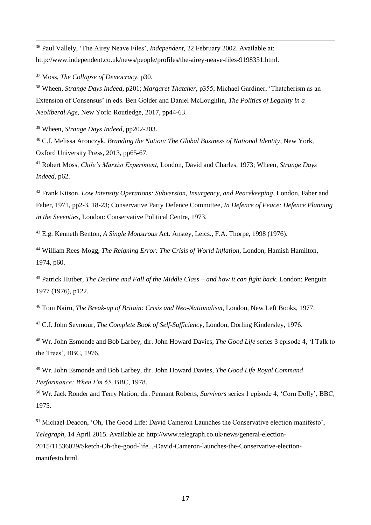<sup>36</sup> Paul Vallely, 'The Airey Neave Files', *Independent*, 22 February 2002. Available at: http://www.independent.co.uk/news/people/profiles/the-airey-neave-files-9198351.html.

<sup>37</sup> Moss, *The Collapse of Democracy*, p30.

-

<sup>38</sup> Wheen, *Strange Days Indeed*, p201; *Margaret Thatcher*, p355; Michael Gardiner, 'Thatcherism as an Extension of Consensus' in eds. Ben Golder and Daniel McLoughlin, *The Politics of Legality in a Neoliberal Age*, New York: Routledge, 2017, pp44-63.

<sup>39</sup> Wheen, *Strange Days Indeed*, pp202-203.

<sup>40</sup> C.f. Melissa Aronczyk, *Branding the Nation: The Global Business of National Identity*, New York, Oxford University Press, 2013, pp65-67.

<sup>41</sup> Robert Moss, *Chile's Marxist Experiment*, London, David and Charles, 1973; Wheen, *Strange Days Indeed*, p62.

<sup>42</sup> Frank Kitson, *Low Intensity Operations: Subversion, Insurgency, and Peacekeeping*, London, Faber and Faber, 1971, pp2-3, 18-23; Conservative Party Defence Committee, *In Defence of Peace: Defence Planning in the Seventies*, London: Conservative Political Centre, 1973.

<sup>43</sup> E.g. Kenneth Benton, *A Single Monstrous* Act. Anstey, Leics., F.A. Thorpe, 1998 (1976).

<sup>44</sup> William Rees-Mogg, *The Reigning Error: The Crisis of World Inflation*, London, Hamish Hamilton, 1974, p60.

<sup>45</sup> Patrick Hutber, *The Decline and Fall of the Middle Class – and how it can fight back*. London: Penguin 1977 (1976), p122.

<sup>46</sup> Tom Nairn, *The Break-up of Britain: Crisis and Neo-Nationalism*, London, New Left Books, 1977.

<sup>47</sup> C.f. John Seymour, *The Complete Book of Self-Sufficiency*, London, Dorling Kindersley, 1976.

<sup>48</sup> Wr. John Esmonde and Bob Larbey, dir. John Howard Davies, *The Good Life* series 3 episode 4, 'I Talk to the Trees', BBC, 1976.

<sup>49</sup> Wr. John Esmonde and Bob Larbey, dir. John Howard Davies, *The Good Life Royal Command Performance: When I'm 65*, BBC, 1978.

<sup>50</sup> Wr. Jack Ronder and Terry Nation, dir. Pennant Roberts, *Survivors* series 1 episode 4, 'Corn Dolly', BBC, 1975.

<sup>51</sup> Michael Deacon, 'Oh, The Good Life: David Cameron Launches the Conservative election manifesto', *Telegraph*, 14 April 2015. Available at: http://www.telegraph.co.uk/news/general-election-2015/11536029/Sketch-Oh-the-good-life...-David-Cameron-launches-the-Conservative-electionmanifesto.html.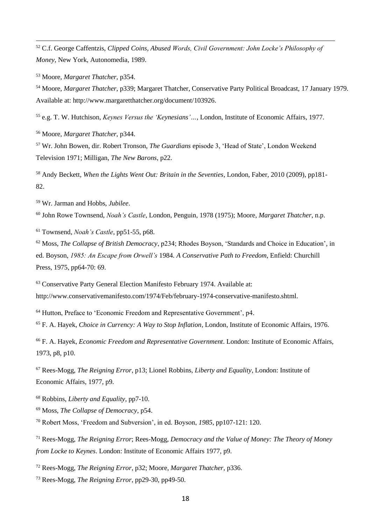C.f. George Caffentzis, *Clipped Coins, Abused Words, Civil Government: John Locke's Philosophy of Money*, New York, Autonomedia, 1989.

Moore, *Margaret Thatcher*, p354.

-

 Moore, *Margaret Thatcher*, p339; Margaret Thatcher, Conservative Party Political Broadcast, 17 January 1979. Available at: http://www.margaretthatcher.org/document/103926.

e.g. T. W. Hutchison, *Keynes Versus the 'Keynesians'…*, London, Institute of Economic Affairs, 1977.

Moore, *Margaret Thatcher*, p344.

 Wr. John Bowen, dir. Robert Tronson, *The Guardians* episode 3, 'Head of State', London Weekend Television 1971; Milligan, *The New Barons*, p22.

 Andy Beckett, *When the Lights Went Out: Britain in the Seventies*, London, Faber, 2010 (2009), pp181- 82.

Wr. Jarman and Hobbs, *Jubilee*.

John Rowe Townsend, *Noah's Castle*, London, Penguin, 1978 (1975); Moore, *Margaret Thatcher*, n.p.

Townsend, *Noah's Castle*, pp51-55, p68.

 Moss, *The Collapse of British Democracy*, p234; Rhodes Boyson, 'Standards and Choice in Education', in ed. Boyson, *1985: An Escape from Orwell's* 1984*. A Conservative Path to Freedom*, Enfield: Churchill Press, 1975, pp64-70: 69.

 Conservative Party General Election Manifesto February 1974. Available at: http://www.conservativemanifesto.com/1974/Feb/february-1974-conservative-manifesto.shtml.

<sup>64</sup> Hutton, Preface to 'Economic Freedom and Representative Government', p4.

F. A. Hayek, *Choice in Currency: A Way to Stop Inflation*, London, Institute of Economic Affairs, 1976.

 F. A. Hayek, *Economic Freedom and Representative Government*. London: Institute of Economic Affairs, 1973, p8, p10.

 Rees-Mogg, *The Reigning Error*, p13; Lionel Robbins, *Liberty and Equality*, London: Institute of Economic Affairs, 1977, p9.

Robbins, *Liberty and Equality*, pp7-10.

Moss, *The Collapse of Democracy*, p54.

Robert Moss, 'Freedom and Subversion', in ed. Boyson, *1985*, pp107-121: 120.

 Rees-Mogg, *The Reigning Error*; Rees-Mogg, *Democracy and the Value of Money: The Theory of Money from Locke to Keynes*. London: Institute of Economic Affairs 1977, p9.

Rees-Mogg, *The Reigning Error*, p32; Moore, *Margaret Thatcher*, p336.

Rees-Mogg, *The Reigning Error*, pp29-30, pp49-50.